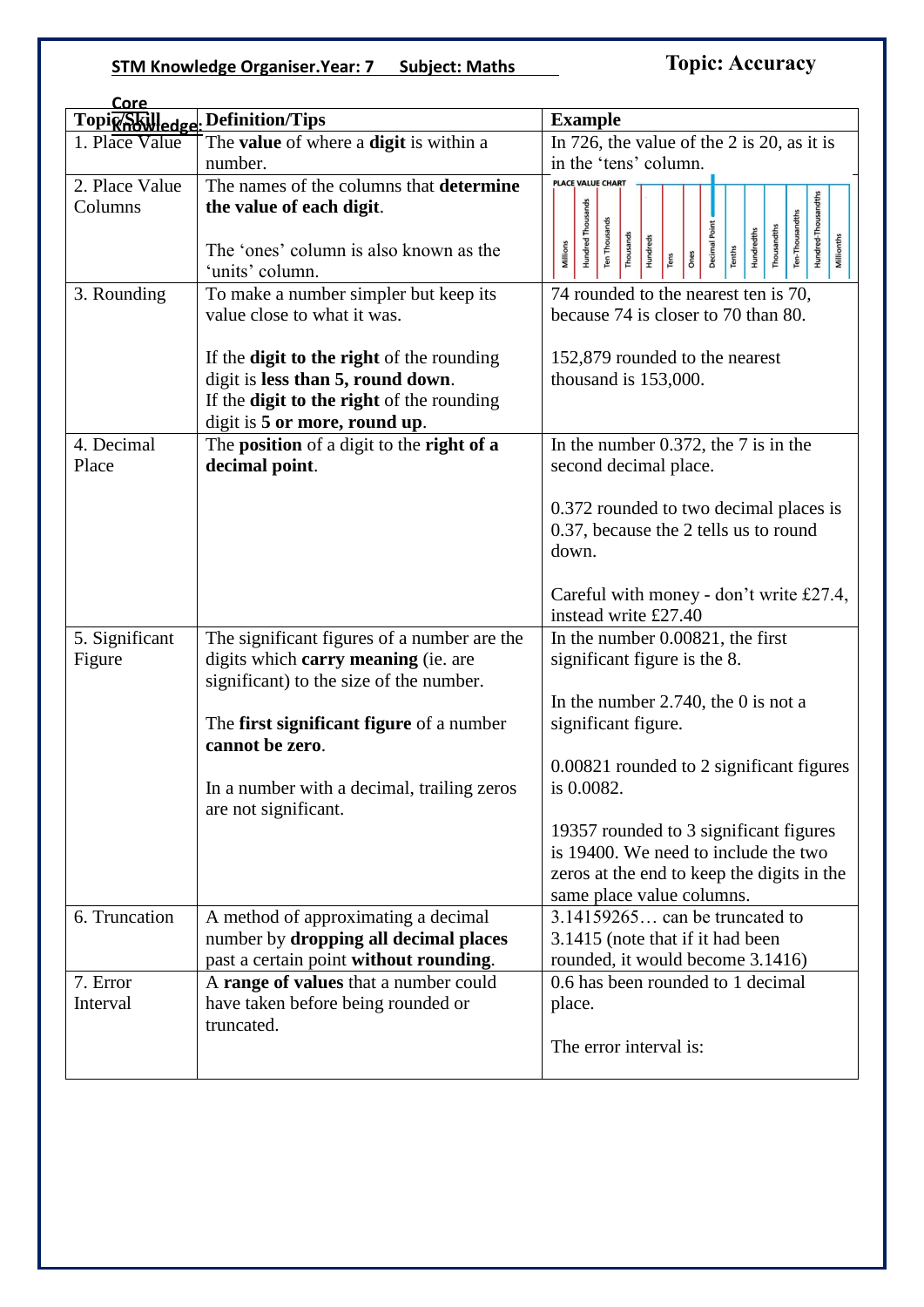## **STM Knowledge Organiser.Year: 7 Subject: Maths**

# **Topic: Accuracy**

| Core                          |                                                  |                                                                                                                                |
|-------------------------------|--------------------------------------------------|--------------------------------------------------------------------------------------------------------------------------------|
| Topic <sub>66</sub> Skilledge | . Definition/Tips                                | <b>Example</b>                                                                                                                 |
| 1. Place Value                | The value of where a digit is within a           | In 726, the value of the 2 is 20, as it is                                                                                     |
|                               | number.                                          | in the 'tens' column.                                                                                                          |
| 2. Place Value                | The names of the columns that determine          | <b>PLACE VALUE CHART</b>                                                                                                       |
| Columns                       | the value of each digit.                         | Hundred-Thousandths                                                                                                            |
|                               |                                                  | <b>Hundred Thousands</b><br>Ten-Thousandths<br>Ten Thousands                                                                   |
|                               | The 'ones' column is also known as the           | Decimal Point<br>Thousandths<br><b>Hundredths</b><br>Thousands<br>Millionths<br>Hundreds<br>Millions<br>Tenths<br>Ones<br>Tens |
|                               | 'units' column.                                  |                                                                                                                                |
| 3. Rounding                   | To make a number simpler but keep its            | 74 rounded to the nearest ten is 70,                                                                                           |
|                               | value close to what it was.                      | because 74 is closer to 70 than 80.                                                                                            |
|                               |                                                  |                                                                                                                                |
|                               | If the <b>digit to the right</b> of the rounding | 152,879 rounded to the nearest                                                                                                 |
|                               | digit is less than 5, round down.                | thousand is $153,000$ .                                                                                                        |
|                               | If the <b>digit to the right</b> of the rounding |                                                                                                                                |
|                               | digit is 5 or more, round up.                    |                                                                                                                                |
| 4. Decimal                    | The position of a digit to the right of a        | In the number 0.372, the $7$ is in the                                                                                         |
| Place                         | decimal point.                                   | second decimal place.                                                                                                          |
|                               |                                                  |                                                                                                                                |
|                               |                                                  | 0.372 rounded to two decimal places is                                                                                         |
|                               |                                                  | 0.37, because the 2 tells us to round                                                                                          |
|                               |                                                  | down.                                                                                                                          |
|                               |                                                  |                                                                                                                                |
|                               |                                                  | Careful with money - don't write £27.4,                                                                                        |
|                               |                                                  | instead write £27.40                                                                                                           |
| 5. Significant                | The significant figures of a number are the      | In the number 0.00821, the first                                                                                               |
| Figure                        | digits which carry meaning (ie. are              | significant figure is the 8.                                                                                                   |
|                               | significant) to the size of the number.          |                                                                                                                                |
|                               |                                                  | In the number $2.740$ , the 0 is not a                                                                                         |
|                               | The first significant figure of a number         | significant figure.                                                                                                            |
|                               | cannot be zero.                                  |                                                                                                                                |
|                               |                                                  | 0.00821 rounded to 2 significant figures                                                                                       |
|                               | In a number with a decimal, trailing zeros       | is 0.0082.                                                                                                                     |
|                               | are not significant.                             |                                                                                                                                |
|                               |                                                  | 19357 rounded to 3 significant figures                                                                                         |
|                               |                                                  | is 19400. We need to include the two                                                                                           |
|                               |                                                  | zeros at the end to keep the digits in the                                                                                     |
|                               |                                                  | same place value columns.                                                                                                      |
| 6. Truncation                 | A method of approximating a decimal              | 3.14159265 can be truncated to                                                                                                 |
|                               | number by dropping all decimal places            | 3.1415 (note that if it had been                                                                                               |
|                               | past a certain point without rounding.           | rounded, it would become 3.1416)                                                                                               |
| 7. Error                      | A range of values that a number could            | 0.6 has been rounded to 1 decimal                                                                                              |
| Interval                      | have taken before being rounded or               | place.                                                                                                                         |
|                               | truncated.                                       |                                                                                                                                |
|                               |                                                  | The error interval is:                                                                                                         |
|                               |                                                  |                                                                                                                                |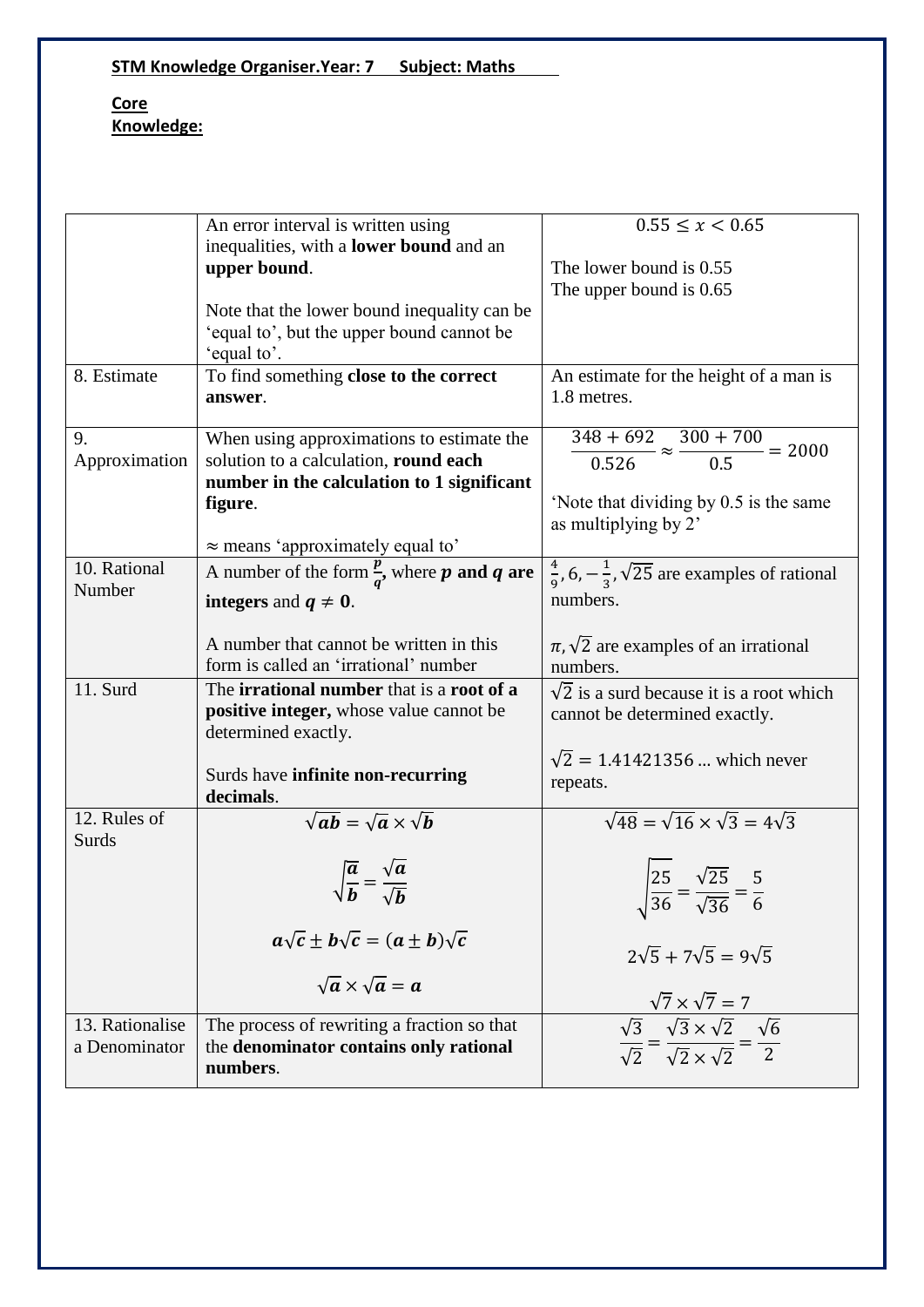**STM Knowledge Organiser.Year: 7 Subject: Maths**

#### **Core Knowledge:**

|                 | An error interval is written using                                              | $0.55 \leq x \leq 0.65$                                                                                                                                         |
|-----------------|---------------------------------------------------------------------------------|-----------------------------------------------------------------------------------------------------------------------------------------------------------------|
|                 | inequalities, with a lower bound and an                                         |                                                                                                                                                                 |
|                 | upper bound.                                                                    | The lower bound is 0.55                                                                                                                                         |
|                 |                                                                                 |                                                                                                                                                                 |
|                 |                                                                                 | The upper bound is 0.65                                                                                                                                         |
|                 | Note that the lower bound inequality can be                                     |                                                                                                                                                                 |
|                 | 'equal to', but the upper bound cannot be                                       |                                                                                                                                                                 |
|                 | 'equal to'.                                                                     |                                                                                                                                                                 |
| 8. Estimate     | To find something close to the correct                                          | An estimate for the height of a man is                                                                                                                          |
|                 |                                                                                 | 1.8 metres.                                                                                                                                                     |
|                 | answer.                                                                         |                                                                                                                                                                 |
|                 |                                                                                 |                                                                                                                                                                 |
| 9.              | When using approximations to estimate the                                       | $\frac{348 + 692}{0.526} \approx \frac{300 + 700}{0.5} = 2000$                                                                                                  |
| Approximation   | solution to a calculation, round each                                           |                                                                                                                                                                 |
|                 | number in the calculation to 1 significant                                      |                                                                                                                                                                 |
|                 | figure.                                                                         | 'Note that dividing by 0.5 is the same                                                                                                                          |
|                 |                                                                                 |                                                                                                                                                                 |
|                 |                                                                                 | as multiplying by 2'                                                                                                                                            |
|                 | $\approx$ means 'approximately equal to'                                        |                                                                                                                                                                 |
| 10. Rational    | A number of the form $\frac{\overline{p}}{a}$ , where <b>p</b> and <b>q</b> are | $\frac{4}{9}$ , 6, $-\frac{1}{3}$ , $\sqrt{25}$ are examples of rational                                                                                        |
| Number          |                                                                                 | numbers.                                                                                                                                                        |
|                 | integers and $q \neq 0$ .                                                       |                                                                                                                                                                 |
|                 |                                                                                 |                                                                                                                                                                 |
|                 | A number that cannot be written in this                                         | $\pi, \sqrt{2}$ are examples of an irrational                                                                                                                   |
|                 | form is called an 'irrational' number                                           | numbers.                                                                                                                                                        |
| 11. Surd        | The irrational number that is a root of a                                       | $\sqrt{2}$ is a surd because it is a root which                                                                                                                 |
|                 | positive integer, whose value cannot be                                         |                                                                                                                                                                 |
|                 |                                                                                 | cannot be determined exactly.                                                                                                                                   |
|                 | determined exactly.                                                             |                                                                                                                                                                 |
|                 |                                                                                 | $\sqrt{2}$ = 1.41421356  which never                                                                                                                            |
|                 | Surds have infinite non-recurring                                               | repeats.                                                                                                                                                        |
|                 | decimals.                                                                       |                                                                                                                                                                 |
| 12. Rules of    | $\sqrt{ab} = \sqrt{a} \times \sqrt{b}$                                          | $\sqrt{48} = \sqrt{16} \times \sqrt{3} = 4\sqrt{3}$                                                                                                             |
| Surds           |                                                                                 |                                                                                                                                                                 |
|                 |                                                                                 |                                                                                                                                                                 |
|                 | $\sqrt{\frac{a}{b}} = \frac{\sqrt{a}}{\sqrt{b}}$                                |                                                                                                                                                                 |
|                 |                                                                                 |                                                                                                                                                                 |
|                 |                                                                                 | $\sqrt{\frac{25}{36}} = \frac{\sqrt{25}}{\sqrt{36}} = \frac{5}{6}$                                                                                              |
|                 |                                                                                 |                                                                                                                                                                 |
|                 | $a\sqrt{c} \pm b\sqrt{c} = (a \pm b)\sqrt{c}$                                   |                                                                                                                                                                 |
|                 |                                                                                 | $2\sqrt{5} + 7\sqrt{5} = 9\sqrt{5}$                                                                                                                             |
|                 | $\sqrt{a} \times \sqrt{a} = a$                                                  |                                                                                                                                                                 |
|                 |                                                                                 |                                                                                                                                                                 |
| 13. Rationalise | The process of rewriting a fraction so that                                     | $\frac{\sqrt{7} \times \sqrt{7} = 7}{\sqrt{3}}$<br>$\frac{\sqrt{3}}{\sqrt{2}} = \frac{\sqrt{3} \times \sqrt{2}}{\sqrt{2} \times \sqrt{2}} = \frac{\sqrt{6}}{2}$ |
|                 |                                                                                 |                                                                                                                                                                 |
| a Denominator   | the denominator contains only rational                                          |                                                                                                                                                                 |
|                 | numbers.                                                                        |                                                                                                                                                                 |
|                 |                                                                                 |                                                                                                                                                                 |